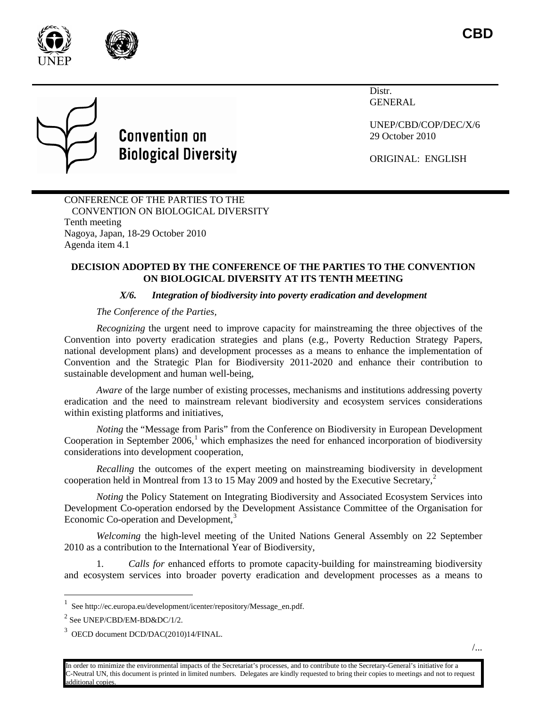



# **Convention on Biological Diversity**

**Distr** GENERAL

UNEP/CBD/COP/DEC/X/6 29 October 2010

ORIGINAL: ENGLISH

CONFERENCE OF THE PARTIES TO THE CONVENTION ON BIOLOGICAL DIVERSITY Tenth meeting Nagoya, Japan, 18-29 October 2010 Agenda item 4.1

#### **DECISION ADOPTED BY THE CONFERENCE OF THE PARTIES TO THE CONVENTION ON BIOLOGICAL DIVERSITY AT ITS TENTH MEETING**

## *X/6. Integration of biodiversity into poverty eradication and development*

### *The Conference of the Parties,*

*Recognizing* the urgent need to improve capacity for mainstreaming the three objectives of the Convention into poverty eradication strategies and plans (e.g., Poverty Reduction Strategy Papers, national development plans) and development processes as a means to enhance the implementation of Convention and the Strategic Plan for Biodiversity 2011-2020 and enhance their contribution to sustainable development and human well-being,

*Aware* of the large number of existing processes, mechanisms and institutions addressing poverty eradication and the need to mainstream relevant biodiversity and ecosystem services considerations within existing platforms and initiatives,

*Noting* the "Message from Paris" from the Conference on Biodiversity in European Development Cooperation in September  $2006$ ,<sup>[1](#page-0-0)</sup> which emphasizes the need for enhanced incorporation of biodiversity considerations into development cooperation,

*Recalling* the outcomes of the expert meeting on mainstreaming biodiversity in development cooperation held in Montreal from 13 to 15 May [2](#page-0-1)009 and hosted by the Executive Secretary,<sup>2</sup>

*Noting* the Policy Statement on Integrating Biodiversity and Associated Ecosystem Services into Development Co-operation endorsed by the Development Assistance Committee of the Organisation for Economic Co-operation and Development,<sup>[3](#page-0-2)</sup>

*Welcoming* the high-level meeting of the United Nations General Assembly on 22 September 2010 as a contribution to the International Year of Biodiversity,

1. *Calls for* enhanced efforts to promote capacity-building for mainstreaming biodiversity and ecosystem services into broader poverty eradication and development processes as a means to

<span id="page-0-0"></span> $\frac{1}{1}$ See http://ec.europa.eu/development/icenter/repository/Message\_en.pdf.

<span id="page-0-1"></span> $2$  See UNEP/CBD/EM-BD&DC/1/2.

<span id="page-0-2"></span><sup>3</sup> OECD document DCD/DAC(2010)14/FINAL.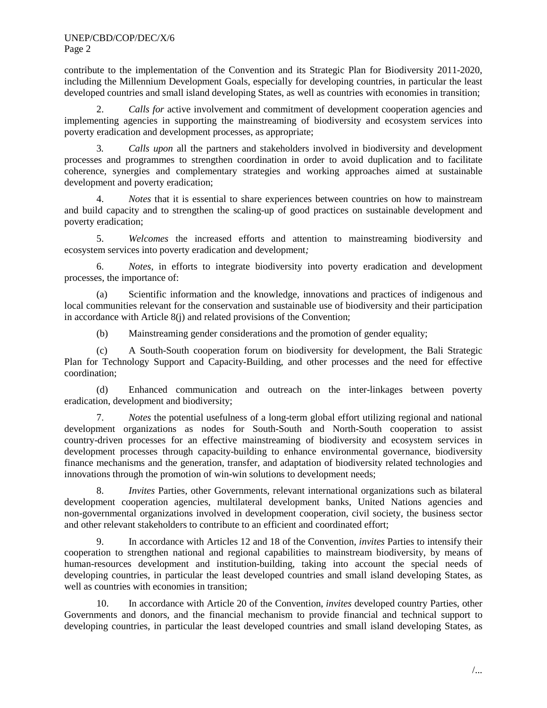UNEP/CBD/COP/DEC/X/6 Page 2

contribute to the implementation of the Convention and its Strategic Plan for Biodiversity 2011-2020, including the Millennium Development Goals, especially for developing countries, in particular the least developed countries and small island developing States, as well as countries with economies in transition;

2. *Calls for* active involvement and commitment of development cooperation agencies and implementing agencies in supporting the mainstreaming of biodiversity and ecosystem services into poverty eradication and development processes, as appropriate;

3*. Calls upon* all the partners and stakeholders involved in biodiversity and development processes and programmes to strengthen coordination in order to avoid duplication and to facilitate coherence, synergies and complementary strategies and working approaches aimed at sustainable development and poverty eradication;

4. *Notes* that it is essential to share experiences between countries on how to mainstream and build capacity and to strengthen the scaling-up of good practices on sustainable development and poverty eradication;

5. *Welcomes* the increased efforts and attention to mainstreaming biodiversity and ecosystem services into poverty eradication and development*;* 

6. *Notes*, in efforts to integrate biodiversity into poverty eradication and development processes, the importance of:

(a) Scientific information and the knowledge, innovations and practices of indigenous and local communities relevant for the conservation and sustainable use of biodiversity and their participation in accordance with Article 8(j) and related provisions of the Convention;

(b) Mainstreaming gender considerations and the promotion of gender equality;

(c) A South-South cooperation forum on biodiversity for development, the Bali Strategic Plan for Technology Support and Capacity-Building, and other processes and the need for effective coordination;

(d) Enhanced communication and outreach on the inter-linkages between poverty eradication, development and biodiversity;

7. *Notes* the potential usefulness of a long-term global effort utilizing regional and national development organizations as nodes for South-South and North-South cooperation to assist country-driven processes for an effective mainstreaming of biodiversity and ecosystem services in development processes through capacity-building to enhance environmental governance, biodiversity finance mechanisms and the generation, transfer, and adaptation of biodiversity related technologies and innovations through the promotion of win-win solutions to development needs;

8. *Invites* Parties, other Governments, relevant international organizations such as bilateral development cooperation agencies, multilateral development banks, United Nations agencies and non-governmental organizations involved in development cooperation, civil society, the business sector and other relevant stakeholders to contribute to an efficient and coordinated effort;

9. In accordance with Articles 12 and 18 of the Convention, *invites* Parties to intensify their cooperation to strengthen national and regional capabilities to mainstream biodiversity, by means of human-resources development and institution-building, taking into account the special needs of developing countries, in particular the least developed countries and small island developing States, as well as countries with economies in transition;

10. In accordance with Article 20 of the Convention, *invites* developed country Parties, other Governments and donors, and the financial mechanism to provide financial and technical support to developing countries, in particular the least developed countries and small island developing States, as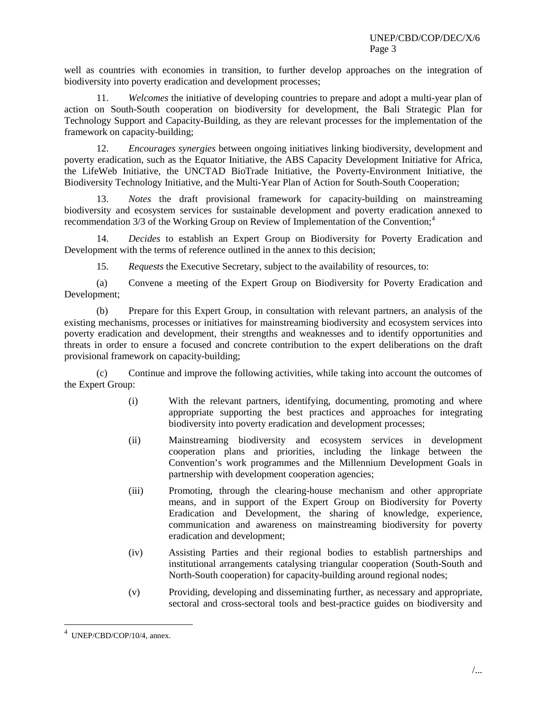well as countries with economies in transition, to further develop approaches on the integration of biodiversity into poverty eradication and development processes;

11. *Welcomes* the initiative of developing countries to prepare and adopt a multi-year plan of action on South-South cooperation on biodiversity for development, the Bali Strategic Plan for Technology Support and Capacity-Building, as they are relevant processes for the implementation of the framework on capacity-building;

12. *Encourages synergies* between ongoing initiatives linking biodiversity, development and poverty eradication, such as the Equator Initiative, the ABS Capacity Development Initiative for Africa, the LifeWeb Initiative, the UNCTAD BioTrade Initiative, the Poverty-Environment Initiative, the Biodiversity Technology Initiative, and the Multi-Year Plan of Action for South-South Cooperation;

13. *Notes* the draft provisional framework for capacity-building on mainstreaming biodiversity and ecosystem services for sustainable development and poverty eradication annexed to recommendation 3/3 of the Working Group on Review of Implementation of the Convention;<sup>[4](#page-2-0)</sup>

14. *Decides* to establish an Expert Group on Biodiversity for Poverty Eradication and Development with the terms of reference outlined in the annex to this decision;

15. *Requests* the Executive Secretary, subject to the availability of resources, to:

(a) Convene a meeting of the Expert Group on Biodiversity for Poverty Eradication and Development;

(b) Prepare for this Expert Group, in consultation with relevant partners, an analysis of the existing mechanisms, processes or initiatives for mainstreaming biodiversity and ecosystem services into poverty eradication and development, their strengths and weaknesses and to identify opportunities and threats in order to ensure a focused and concrete contribution to the expert deliberations on the draft provisional framework on capacity-building;

(c) Continue and improve the following activities, while taking into account the outcomes of the Expert Group:

- (i) With the relevant partners, identifying, documenting, promoting and where appropriate supporting the best practices and approaches for integrating biodiversity into poverty eradication and development processes;
- (ii) Mainstreaming biodiversity and ecosystem services in development cooperation plans and priorities, including the linkage between the Convention's work programmes and the Millennium Development Goals in partnership with development cooperation agencies;
- (iii) Promoting, through the clearing-house mechanism and other appropriate means, and in support of the Expert Group on Biodiversity for Poverty Eradication and Development, the sharing of knowledge, experience, communication and awareness on mainstreaming biodiversity for poverty eradication and development;
- (iv) Assisting Parties and their regional bodies to establish partnerships and institutional arrangements catalysing triangular cooperation (South-South and North-South cooperation) for capacity-building around regional nodes;
- (v) Providing, developing and disseminating further, as necessary and appropriate, sectoral and cross-sectoral tools and best-practice guides on biodiversity and

<span id="page-2-0"></span> $\frac{1}{4}$ UNEP/CBD/COP/10/4, annex.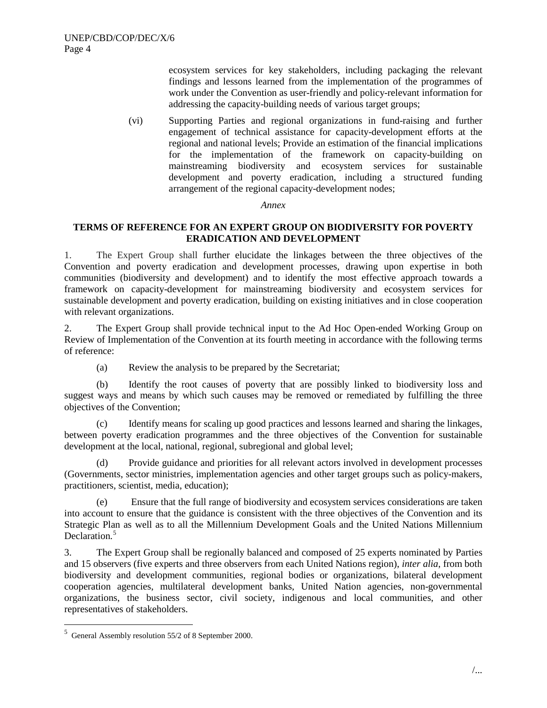ecosystem services for key stakeholders, including packaging the relevant findings and lessons learned from the implementation of the programmes of work under the Convention as user-friendly and policy-relevant information for addressing the capacity-building needs of various target groups;

(vi) Supporting Parties and regional organizations in fund-raising and further engagement of technical assistance for capacity-development efforts at the regional and national levels; Provide an estimation of the financial implications for the implementation of the framework on capacity-building on mainstreaming biodiversity and ecosystem services for sustainable development and poverty eradication, including a structured funding arrangement of the regional capacity-development nodes;

#### *Annex*

### **TERMS OF REFERENCE FOR AN EXPERT GROUP ON BIODIVERSITY FOR POVERTY ERADICATION AND DEVELOPMENT**

1. The Expert Group shall further elucidate the linkages between the three objectives of the Convention and poverty eradication and development processes, drawing upon expertise in both communities (biodiversity and development) and to identify the most effective approach towards a framework on capacity-development for mainstreaming biodiversity and ecosystem services for sustainable development and poverty eradication, building on existing initiatives and in close cooperation with relevant organizations.

2. The Expert Group shall provide technical input to the Ad Hoc Open-ended Working Group on Review of Implementation of the Convention at its fourth meeting in accordance with the following terms of reference:

(a) Review the analysis to be prepared by the Secretariat;

(b) Identify the root causes of poverty that are possibly linked to biodiversity loss and suggest ways and means by which such causes may be removed or remediated by fulfilling the three objectives of the Convention;

(c) Identify means for scaling up good practices and lessons learned and sharing the linkages, between poverty eradication programmes and the three objectives of the Convention for sustainable development at the local, national, regional, subregional and global level;

(d) Provide guidance and priorities for all relevant actors involved in development processes (Governments, sector ministries, implementation agencies and other target groups such as policy-makers, practitioners, scientist, media, education);

(e) Ensure that the full range of biodiversity and ecosystem services considerations are taken into account to ensure that the guidance is consistent with the three objectives of the Convention and its Strategic Plan as well as to all the Millennium Development Goals and the United Nations Millennium Declaration.<sup>[5](#page-3-0)</sup>

3. The Expert Group shall be regionally balanced and composed of 25 experts nominated by Parties and 15 observers (five experts and three observers from each United Nations region), *inter alia*, from both biodiversity and development communities, regional bodies or organizations, bilateral development cooperation agencies, multilateral development banks, United Nation agencies, non-governmental organizations, the business sector, civil society, indigenous and local communities, and other representatives of stakeholders.

<span id="page-3-0"></span> <sup>5</sup>  $5$  General Assembly resolution 55/2 of 8 September 2000.